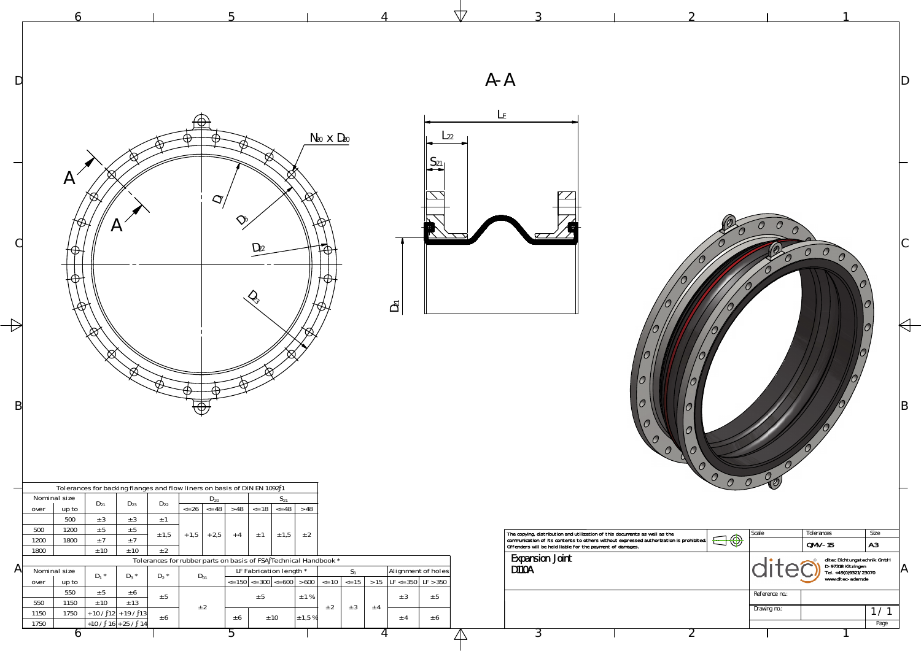

|              |                                                                                                                                                                                           |                                          |                                                                                                                                                                                                                                                                            |                            |                                                | $\sqrt{7}$ |                                                                                                                                                                                                                                                                        |                                 |                                                                                                                                                   |
|--------------|-------------------------------------------------------------------------------------------------------------------------------------------------------------------------------------------|------------------------------------------|----------------------------------------------------------------------------------------------------------------------------------------------------------------------------------------------------------------------------------------------------------------------------|----------------------------|------------------------------------------------|------------|------------------------------------------------------------------------------------------------------------------------------------------------------------------------------------------------------------------------------------------------------------------------|---------------------------------|---------------------------------------------------------------------------------------------------------------------------------------------------|
| D            |                                                                                                                                                                                           |                                          |                                                                                                                                                                                                                                                                            |                            |                                                | $A - A$    |                                                                                                                                                                                                                                                                        |                                 |                                                                                                                                                   |
|              | $\overline{\mathcal{A}}$                                                                                                                                                                  |                                          |                                                                                                                                                                                                                                                                            | $N_{20}$ $\times$ $D_{20}$ | $L_{22}$<br>$S_{21}$                           | $L_{E}$    |                                                                                                                                                                                                                                                                        |                                 |                                                                                                                                                   |
|              |                                                                                                                                                                                           |                                          | $\mathcal{L}_{\mathcal{D}}$<br>$D_{22}$                                                                                                                                                                                                                                    |                            |                                                |            |                                                                                                                                                                                                                                                                        |                                 | $\overline{O}$                                                                                                                                    |
|              | $\boxtimes$                                                                                                                                                                               |                                          | Œ.                                                                                                                                                                                                                                                                         |                            | $\mathsf{D}_{21}$                              |            |                                                                                                                                                                                                                                                                        |                                 |                                                                                                                                                   |
| B            | Q                                                                                                                                                                                         | $\bigoplus$                              |                                                                                                                                                                                                                                                                            |                            |                                                |            |                                                                                                                                                                                                                                                                        |                                 |                                                                                                                                                   |
|              | Tolerances for backing flanges and flow liners on basis of DIN EN 1092 1<br>Nominal size<br>$D_{21}$<br>$D_{23}$                                                                          | $D_{20}$<br>$D_{22}$                     | $S_{21}$                                                                                                                                                                                                                                                                   |                            |                                                |            |                                                                                                                                                                                                                                                                        | $\mathcal{O}$<br>$\overline{O}$ | C<br>$\overline{O}$                                                                                                                               |
| $\mathsf{A}$ | up to<br>over<br>500<br>± 3<br>$\pm$ 3<br>500<br>1200<br>± 5<br>± 5<br>±7<br>1800<br>1200<br>±7<br>1800<br>$\pm$ 10<br>± 10<br>Nominal size                                               | ± 1<br>± 1,5<br>$+2,5$<br>$+1,5$<br>± 2  | $\le$ 26 $\le$ 48 $\ge$ 48 $\le$ 18 $\le$ 48 $\ge$ 48<br>$+4$<br>$\pm$ 1 $\pm$ 1,5<br>± 2<br>Tolerances for rubber parts on basis of FSA Technical Handbook *<br>LF Fabrication length *                                                                                   | $S_1$                      | Alignment of holes                             |            | The copying, distribution and utilization of this documents as well as the communication of its contents to others without expressed authorization is prohibited.<br>Offenders will be held liable for the payment of damages.<br>Expansion Joint<br>D <sub>10</sub> A | $\bigoplus \bigoplus$           | Tolerances<br>Size<br>Scale<br> A3 <br>$QMV-15$<br>ditec Dichtungstechnik GmbH<br>D-97318 Kitzingen<br>Tel. +49(0)9321/23070<br>www.ditec-adam.de |
|              | $D_1$ *<br>$D_3$ *<br>up to<br>over<br>550<br>$\pm$ 5<br>± 6<br>550<br>$\pm$ 10<br>± 13<br>1150<br>1750<br>$+ 10 / 12 + 19 / 13$<br>1150<br>$+10 / 16 + 25 / 14$<br>1750<br>$\mathfrak b$ | $D_2$ *<br>$D_{01}$<br>± 5<br>± 2<br>± 6 | $\epsilon$ = 150 $\vert \epsilon$ = 300 $\vert \epsilon$ = 600 $\vert \epsilon$ > 600 $\vert \epsilon$ = 10 $\vert \epsilon$ = 15 $\vert \epsilon$ > 15 $\vert$ LF $\epsilon$ = 350 $\vert$ LF > 350<br>$\pm$ 1 %<br>$\pm$ 5<br>± 10<br>$\pm$ 6<br>± 1,5%<br>$\mathcal{D}$ | ± 2<br>± 3<br>± 4          | ± 5<br>± 3<br>± 6<br>$\pm$ 4<br>$\overline{4}$ |            | 3                                                                                                                                                                                                                                                                      |                                 | Reference no.:<br>Drawing no.:<br>1/1<br>Page                                                                                                     |